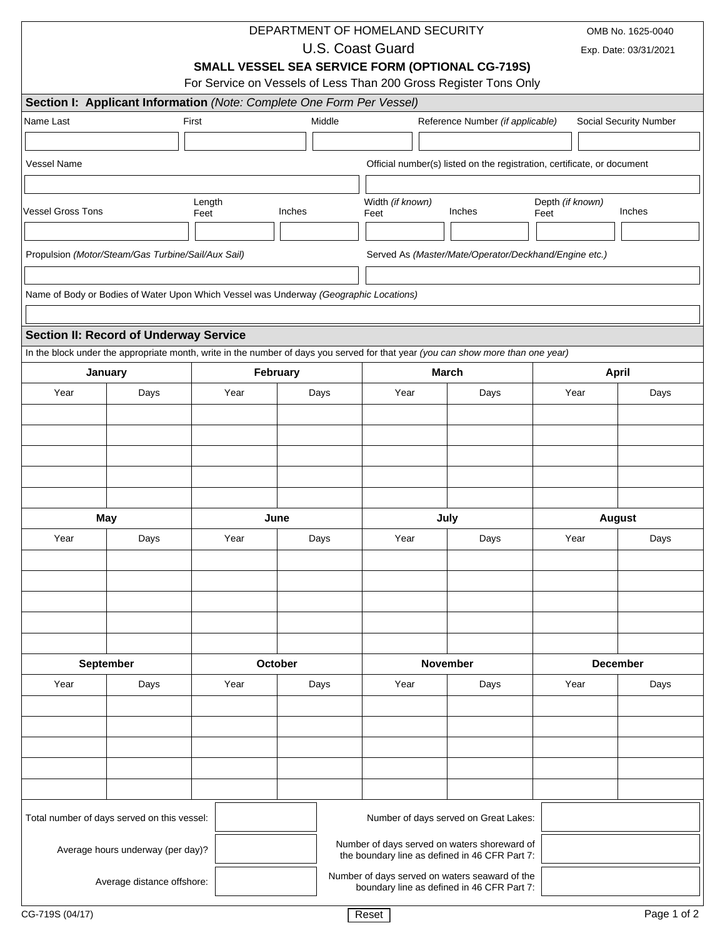|                          |                                                                                                                                  | DEPARTMENT OF HOMELAND SECURITY                                  |                                                                                    |                                                |                                                                         |                                  |              | OMB No. 1625-0040     |                        |  |
|--------------------------|----------------------------------------------------------------------------------------------------------------------------------|------------------------------------------------------------------|------------------------------------------------------------------------------------|------------------------------------------------|-------------------------------------------------------------------------|----------------------------------|--------------|-----------------------|------------------------|--|
|                          |                                                                                                                                  |                                                                  | <b>U.S. Coast Guard</b><br><b>SMALL VESSEL SEA SERVICE FORM (OPTIONAL CG-719S)</b> |                                                |                                                                         |                                  |              | Exp. Date: 03/31/2021 |                        |  |
|                          |                                                                                                                                  |                                                                  |                                                                                    |                                                |                                                                         |                                  |              |                       |                        |  |
|                          |                                                                                                                                  | For Service on Vessels of Less Than 200 Gross Register Tons Only |                                                                                    |                                                |                                                                         |                                  |              |                       |                        |  |
|                          | Section I: Applicant Information (Note: Complete One Form Per Vessel)                                                            | First                                                            | Middle                                                                             |                                                |                                                                         |                                  |              |                       |                        |  |
| Name Last                |                                                                                                                                  |                                                                  |                                                                                    |                                                |                                                                         | Reference Number (if applicable) |              |                       | Social Security Number |  |
|                          |                                                                                                                                  |                                                                  |                                                                                    |                                                |                                                                         |                                  |              |                       |                        |  |
| <b>Vessel Name</b>       |                                                                                                                                  |                                                                  |                                                                                    |                                                | Official number(s) listed on the registration, certificate, or document |                                  |              |                       |                        |  |
|                          |                                                                                                                                  |                                                                  |                                                                                    |                                                |                                                                         |                                  |              |                       |                        |  |
| <b>Vessel Gross Tons</b> |                                                                                                                                  | Length<br>Feet                                                   | Inches                                                                             | Width (if known)<br>Feet                       | Depth (if known)<br>Inches<br>Inches<br>Feet                            |                                  |              |                       |                        |  |
|                          |                                                                                                                                  |                                                                  |                                                                                    |                                                |                                                                         |                                  |              |                       |                        |  |
|                          | Propulsion (Motor/Steam/Gas Turbine/Sail/Aux Sail)                                                                               |                                                                  |                                                                                    |                                                | Served As (Master/Mate/Operator/Deckhand/Engine etc.)                   |                                  |              |                       |                        |  |
|                          |                                                                                                                                  |                                                                  |                                                                                    |                                                |                                                                         |                                  |              |                       |                        |  |
|                          | Name of Body or Bodies of Water Upon Which Vessel was Underway (Geographic Locations)                                            |                                                                  |                                                                                    |                                                |                                                                         |                                  |              |                       |                        |  |
|                          |                                                                                                                                  |                                                                  |                                                                                    |                                                |                                                                         |                                  |              |                       |                        |  |
|                          | <b>Section II: Record of Underway Service</b>                                                                                    |                                                                  |                                                                                    |                                                |                                                                         |                                  |              |                       |                        |  |
|                          | In the block under the appropriate month, write in the number of days you served for that year (you can show more than one year) |                                                                  |                                                                                    |                                                |                                                                         |                                  |              |                       |                        |  |
|                          | January                                                                                                                          | February                                                         |                                                                                    |                                                | <b>March</b>                                                            |                                  |              | <b>April</b>          |                        |  |
| Year                     | Days                                                                                                                             | Year<br>Days                                                     |                                                                                    |                                                | Year<br>Days                                                            |                                  |              | Year                  | Days                   |  |
|                          |                                                                                                                                  |                                                                  |                                                                                    |                                                |                                                                         |                                  |              |                       |                        |  |
|                          |                                                                                                                                  |                                                                  |                                                                                    |                                                |                                                                         |                                  |              |                       |                        |  |
|                          |                                                                                                                                  |                                                                  |                                                                                    |                                                |                                                                         |                                  |              |                       |                        |  |
|                          |                                                                                                                                  |                                                                  |                                                                                    |                                                |                                                                         |                                  |              |                       |                        |  |
|                          |                                                                                                                                  |                                                                  |                                                                                    |                                                |                                                                         |                                  |              |                       |                        |  |
|                          | May                                                                                                                              |                                                                  | June                                                                               |                                                | July                                                                    |                                  |              | <b>August</b>         |                        |  |
| Year                     | Days                                                                                                                             | Year<br>Days                                                     |                                                                                    |                                                | Year<br>Days                                                            |                                  | Year<br>Days |                       |                        |  |
|                          |                                                                                                                                  |                                                                  |                                                                                    |                                                |                                                                         |                                  |              |                       |                        |  |
|                          |                                                                                                                                  |                                                                  |                                                                                    |                                                |                                                                         |                                  |              |                       |                        |  |
|                          |                                                                                                                                  |                                                                  |                                                                                    |                                                |                                                                         |                                  |              |                       |                        |  |
|                          |                                                                                                                                  |                                                                  |                                                                                    |                                                |                                                                         |                                  |              |                       |                        |  |
|                          |                                                                                                                                  |                                                                  |                                                                                    |                                                |                                                                         |                                  |              |                       |                        |  |
|                          | September                                                                                                                        |                                                                  | <b>October</b>                                                                     | <b>November</b>                                |                                                                         | <b>December</b>                  |              |                       |                        |  |
| Year                     | Days                                                                                                                             | Year<br>Days                                                     |                                                                                    |                                                | Year<br>Days                                                            |                                  | Year<br>Days |                       |                        |  |
|                          |                                                                                                                                  |                                                                  |                                                                                    |                                                |                                                                         |                                  |              |                       |                        |  |
|                          |                                                                                                                                  |                                                                  |                                                                                    |                                                |                                                                         |                                  |              |                       |                        |  |
|                          |                                                                                                                                  |                                                                  |                                                                                    |                                                |                                                                         |                                  |              |                       |                        |  |
|                          |                                                                                                                                  |                                                                  |                                                                                    |                                                |                                                                         |                                  |              |                       |                        |  |
|                          |                                                                                                                                  |                                                                  |                                                                                    |                                                |                                                                         |                                  |              |                       |                        |  |
|                          |                                                                                                                                  |                                                                  |                                                                                    |                                                |                                                                         |                                  |              |                       |                        |  |
|                          | Total number of days served on this vessel:                                                                                      |                                                                  |                                                                                    |                                                | Number of days served on Great Lakes:                                   |                                  |              |                       |                        |  |
|                          |                                                                                                                                  |                                                                  |                                                                                    | Number of days served on waters shoreward of   |                                                                         |                                  |              |                       |                        |  |
|                          | Average hours underway (per day)?                                                                                                |                                                                  |                                                                                    | the boundary line as defined in 46 CFR Part 7: |                                                                         |                                  |              |                       |                        |  |
|                          | Average distance offshore:                                                                                                       |                                                                  |                                                                                    | Number of days served on waters seaward of the | boundary line as defined in 46 CFR Part 7:                              |                                  |              |                       |                        |  |
|                          |                                                                                                                                  |                                                                  |                                                                                    |                                                |                                                                         |                                  |              |                       |                        |  |